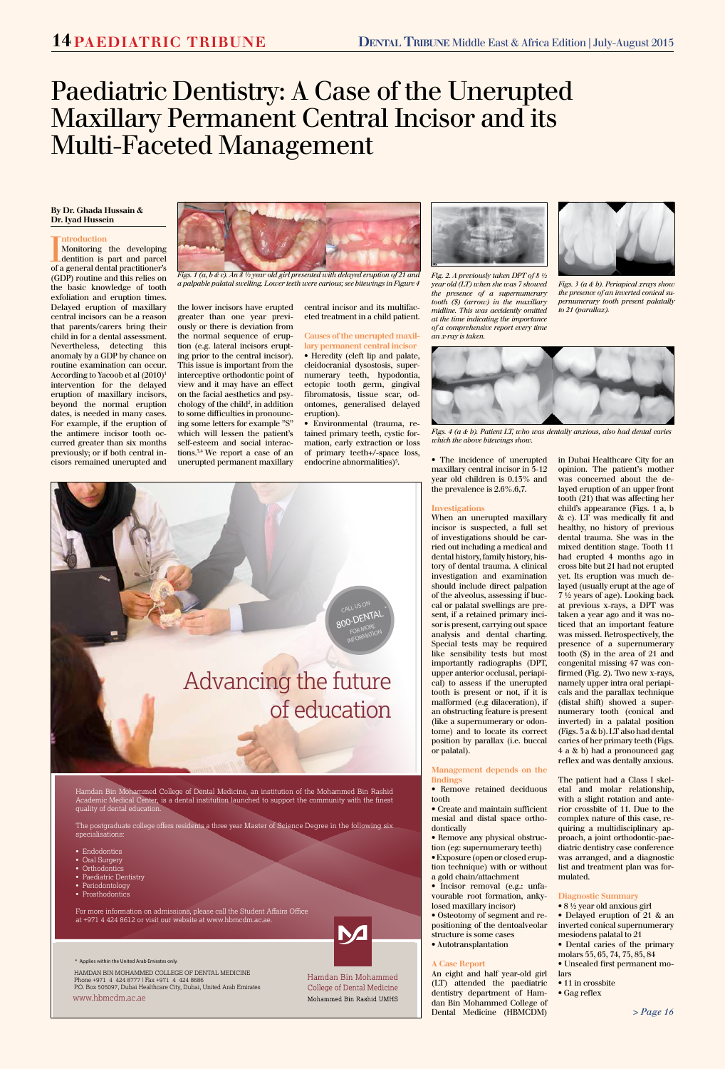Hamdan Bin Mohammed College of Dental Medicine, an institution of the Mohammed Bin Rashid Academic Medical Center, is a dental institution launched to support the community with the finest

#### quality of dental education.

The postgraduate college offers residents a three year Master of Science Degree in the following six specialisations:

- Endodontics
- Oral Surgery
- Orthodontics
- Paediatric Dentistry
- Periodontology
- Prosthodontics



For more information on admissions, please call the Student Affairs Office at +971 4 424 8612 or visit our website at www.hbmcdm.ac.ae.

\* Applies within the United Arab Emirates only.

HAMDAN BIN MOHAMMED COLLEGE OF DENTAL MEDICINE Phone +971 4 424 8777 | Fax +971 4 424 8686 P.O. Box 505097, Dubai Healthcare City, Dubai, United Arab Emirates

Introduction<br>
Monitoring the developing<br>
dentition is part and parcel<br>
of a general dental practitioner's Monitoring the developing dentition is part and parcel (GDP) routine and this relies on the basic knowledge of tooth exfoliation and eruption times. Delayed eruption of maxillary central incisors can be a reason that parents/carers bring their child in for a dental assessment. Nevertheless, detecting this anomaly by a GDP by chance on routine examination can occur. According to Yacoob et al (2010)1 intervention for the delayed eruption of maxillary incisors, beyond the normal eruption dates, is needed in many cases. For example, if the eruption of the antimere incisor tooth occurred greater than six months previously; or if both central incisors remained unerupted and

www.hbmcdm.ac.ae

Hamdan Bin Mohammed College of Dental Medicine Mohammed Bin Rashid UMHS

*> Page 16*

# Paediatric Dentistry: A Case of the Unerupted Maxillary Permanent Central Incisor and its Multi-Faceted Management

# **By Dr. Ghada Hussain & Dr. Iyad Hussein**

# **ntroduction**

• Environmental (trauma, retained primary teeth, cystic formation, early extraction or loss of primary teeth+/-space loss, endocrine abnormalities) $5$ .

the lower incisors have erupted greater than one year previously or there is deviation from the normal sequence of eruption (e.g. lateral incisors erupting prior to the central incisor). This issue is important from the interceptive orthodontic point of view and it may have an effect on the facial aesthetics and psychology of the child<sup>2</sup>, in addition to some difficulties in pronouncing some letters for example "S" which will lessen the patient's self-esteem and social interactions.3,4 We report a case of an unerupted permanent maxillary central incisor and its multifaceted treatment in a child patient.

# **Causes of the unerupted maxillary permanent central incisor**

• Heredity (cleft lip and palate, cleidocranial dysostosis, supernumerary teeth, hypodontia, ectopic tooth germ, gingival fibromatosis, tissue scar, odontomes, generalised delayed eruption).

> . • The incidence of unerupted maxillary central incisor in 5-12 year old children is 0.13% and the prevalence is 2.6%.6,7.

### **Investigations**

When an unerupted maxillary incisor is suspected, a full set of investigations should be carried out including a medical and dental history, family history, history of dental trauma. A clinical investigation and examination should include direct palpation of the alveolus, assessing if buccal or palatal swellings are present, if a retained primary incisor is present, carrying out space analysis and dental charting. Special tests may be required like sensibility tests but most importantly radiographs (DPT, upper anterior occlusal, periapical) to assess if the unerupted tooth is present or not, if it is malformed (e.g dilaceration), if an obstructing feature is present (like a supernumerary or odontome) and to locate its correct position by parallax (i.e. buccal or palatal).

#### **Management depends on the findings**

• Remove retained deciduous tooth

- Create and maintain sufficient mesial and distal space orthodontically
- Remove any physical obstruction (eg: supernumerary teeth)
- Exposure (open or closed eruption technique) with or without a gold chain/attachment
- Incisor removal (e.g.: unfavourable root formation, ankylosed maxillary incisor)
- Osteotomy of segment and repositioning of the dentoalveolar structure is some cases
- Autotransplantation

#### **A Case Report**

An eight and half year-old girl (LT) attended the paediatric dentistry department of Hamdan Bin Mohammed College of Dental Medicine (HBMCDM)

in Dubai Healthcare City for an opinion. The patient's mother was concerned about the delayed eruption of an upper front tooth (21) that was affecting her child's appearance (Figs. 1 a, b & c). LT was medically fit and healthy, no history of previous dental trauma. She was in the mixed dentition stage. Tooth 11 had erupted 4 months ago in cross bite but 21 had not erupted yet. Its eruption was much delayed (usually erupt at the age of 7 ½ years of age). Looking back at previous x-rays, a DPT was taken a year ago and it was noticed that an important feature was missed. Retrospectively, the presence of a supernumerary tooth (\$) in the area of 21 and congenital missing 47 was confirmed (Fig. 2). Two new x-rays, namely upper intra oral periapicals and the parallax technique (distal shift) showed a supernumerary tooth (conical and inverted) in a palatal position (Figs. 3 a & b). LT also had dental caries of her primary teeth (Figs. 4 a & b) had a pronounced gag reflex and was dentally anxious.

The patient had a Class I skeletal and molar relationship, with a slight rotation and anterior crossbite of 11. Due to the complex nature of this case, requiring a multidisciplinary approach, a joint orthodontic-paediatric dentistry case conference was arranged, and a diagnostic list and treatment plan was formulated.

#### **Diagnostic Summary**

- 8 ½ year old anxious girl
- Delayed eruption of 21 & an inverted conical supernumerary mesiodens palatal to 21
- Dental caries of the primary molars 55, 65, 74, 75, 85, 84
- Unsealed first permanent mo-
- lars
	- 11 in crossbite
	- Gag reflex



*Figs. 1 (a, b & c). An 8 ½ year old girl presented with delayed eruption of 21 and a palpable palatal swelling. Lower teeth were carious; see bitewings in Figure 4*



*Fig. 2. A previously taken DPT of 8 ½ year old (LT) when she was 7 showed the presence of a supernumerary tooth (\$) (arrow) in the maxillary midline. This was accidently omitted at the time indicating the importance of a comprehensive report every time an x-ray is taken.*



*Figs. 3 (a & b). Periapical xrays show the presence of an inverted conical supernumerary tooth present palatally to 21 (parallax).*



*Figs. 4 (a & b). Patient LT, who was dentally anxious, also had dental caries which the above bitewings show.*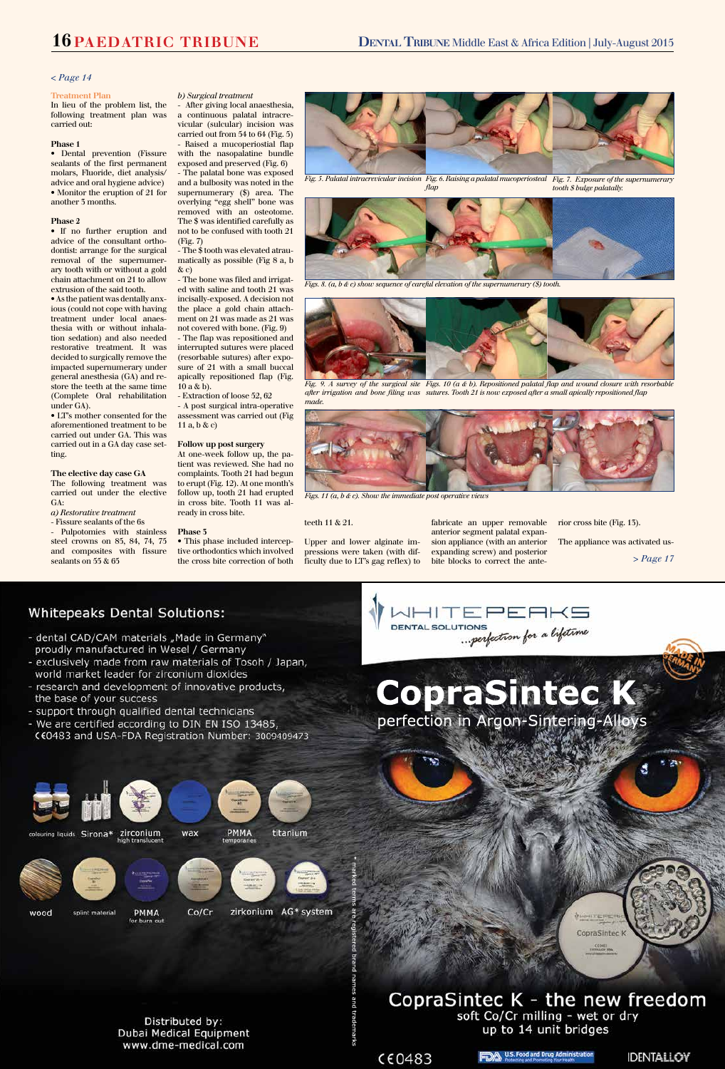#### *< Page 14*

*> Page 17*

J

# **Whitepeaks Dental Solutions:**

- dental CAD/CAM materials "Made in Germany" proudly manufactured in Wesel / Germany
- exclusively made from raw materials of Tosoh / Japan, world market leader for zirconium dioxides
- research and development of innovative products, the base of your success
- support through qualified dental technicians
- We are certified according to DIN EN ISO 13485, CE0483 and USA-FDA Registration Number: 3009409473





Distributed by: Dubai Medical Equipment www.dme-medical.com

# CopraSintec K - the new freedom soft Co/Cr milling - wet or dry up to 14 unit bridges

CopraSintec K **ECONET** 



brand

names

names and trademarks

trademarks





**CopraSintec K**

perfection in Argon-Sintering-Alloys

#### **Treatment Plan**

In lieu of the problem list, the following treatment plan was carried out:

# **Phase 1**

• Dental prevention (Fissure sealants of the first permanent molars, Fluoride, diet analysis/ advice and oral hygiene advice) • Monitor the eruption of 21 for another 3 months.

### **Phase 2**

• If no further eruption and advice of the consultant orthodontist: arrange for the surgical removal of the supernumerary tooth with or without a gold chain attachment on 21 to allow extrusion of the said tooth.

• As the patient was dentally anxious (could not cope with having treatment under local anaesthesia with or without inhalation sedation) and also needed restorative treatment. It was decided to surgically remove the impacted supernumerary under general anesthesia (GA) and restore the teeth at the same time (Complete Oral rehabilitation under GA).

- The \$ tooth was elevated atraumatically as possible (Fig 8 a, b  $\&$  c)

- The flap was repositioned and interrupted sutures were placed (resorbable sutures) after exposure of 21 with a small buccal apically repositioned flap (Fig.  $10a \& b$ ).

• LT's mother consented for the aforementioned treatment to be carried out under GA. This was carried out in a GA day case setting.

**The elective day case GA** The following treatment was carried out under the elective GA:

*a) Restorative treatment*

- Fissure sealants of the 6s

- Pulpotomies with stainless steel crowns on 85, 84, 74, 75 and composites with fissure sealants on 55 & 65

# *b) Surgical treatment*

- After giving local anaesthesia, a continuous palatal intracrevicular (sulcular) incision was carried out from 54 to 64 (Fig. 5) - Raised a mucoperiostial flap with the nasopalatine bundle exposed and preserved (Fig. 6) - The palatal bone was exposed and a bulbosity was noted in the supernumerary (\$) area. The overlying "egg shell" bone was removed with an osteotome. The \$ was identified carefully as not to be confused with tooth 21 (Fig. 7)

- The bone was filed and irrigated with saline and tooth 21 was incisally-exposed. A decision not the place a gold chain attachment on 21 was made as 21 was not covered with bone. (Fig. 9)

- Extraction of loose 52, 62

- A post surgical intra-operative assessment was carried out (Fig 11 a, b & c)

# **Follow up post surgery**

At one-week follow up, the patient was reviewed. She had no complaints. Tooth 21 had begun to erupt (Fig. 12). At one month's follow up, tooth 21 had erupted in cross bite. Tooth 11 was already in cross bite.

#### **Phase 3**

• This phase included interceptive orthodontics which involved the cross bite correction of both

#### teeth 11 & 21.

Upper and lower alginate impressions were taken (with difficulty due to LT's gag reflex) to fabricate an upper removable anterior segment palatal expansion appliance (with an anterior expanding screw) and posterior bite blocks to correct the anterior cross bite (Fig. 13).

The appliance was activated us-



*Fig. 9. A survey of the surgical site Figs. 10 (a & b). Repositioned palatal flap and wound closure with resorbable after irrigation and bone filing was sutures. Tooth 21 is now exposed after a small apically repositioned flap made.*



*Figs. 8. (a, b & c) show sequence of careful elevation of the supernumerary (\$) tooth.*



*Figs. 11 (a, b & c). Show the immediate post operative views* 



*Fig. 5. Palatal intracrevicular incision Fig. 6. Raising a palatal mucoperiosteal Fig. 7. Exposure of the supernumerary flap tooth \$ bulge palatally.*